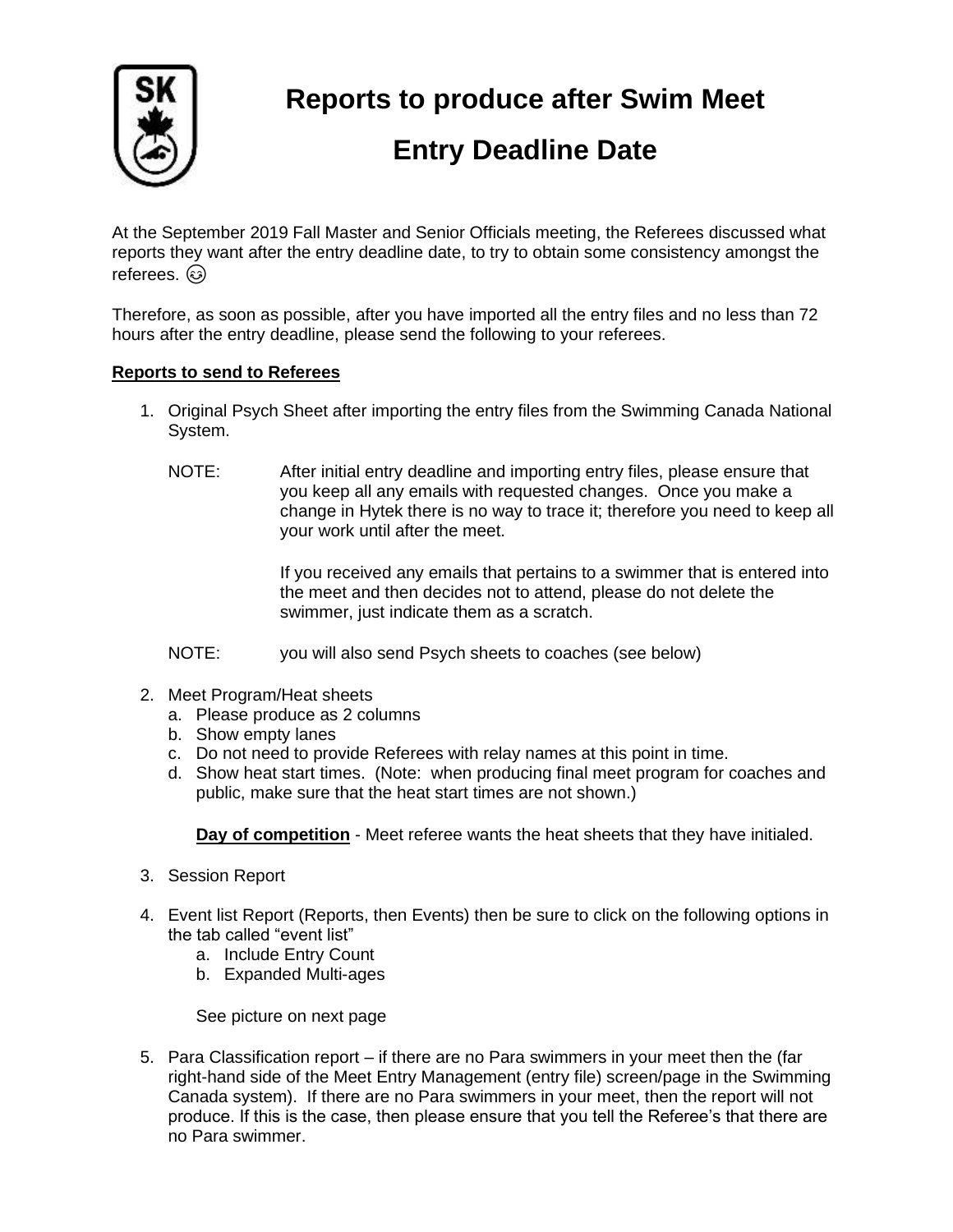

**Reports to produce after Swim Meet** 

## **Entry Deadline Date**

At the September 2019 Fall Master and Senior Officials meeting, the Referees discussed what reports they want after the entry deadline date, to try to obtain some consistency amongst the referees.  $\circledcirc$ 

Therefore, as soon as possible, after you have imported all the entry files and no less than 72 hours after the entry deadline, please send the following to your referees.

## **Reports to send to Referees**

- 1. Original Psych Sheet after importing the entry files from the Swimming Canada National System.
	- NOTE: After initial entry deadline and importing entry files, please ensure that you keep all any emails with requested changes. Once you make a change in Hytek there is no way to trace it; therefore you need to keep all your work until after the meet.

If you received any emails that pertains to a swimmer that is entered into the meet and then decides not to attend, please do not delete the swimmer, just indicate them as a scratch.

- NOTE: you will also send Psych sheets to coaches (see below)
- 2. Meet Program/Heat sheets
	- a. Please produce as 2 columns
	- b. Show empty lanes
	- c. Do not need to provide Referees with relay names at this point in time.
	- d. Show heat start times. (Note: when producing final meet program for coaches and public, make sure that the heat start times are not shown.)

**Day of competition** - Meet referee wants the heat sheets that they have initialed.

- 3. Session Report
- 4. Event list Report (Reports, then Events) then be sure to click on the following options in the tab called "event list"
	- a. Include Entry Count
	- b. Expanded Multi-ages

See picture on next page

5. Para Classification report – if there are no Para swimmers in your meet then the (far right-hand side of the Meet Entry Management (entry file) screen/page in the Swimming Canada system). If there are no Para swimmers in your meet, then the report will not produce. If this is the case, then please ensure that you tell the Referee's that there are no Para swimmer.